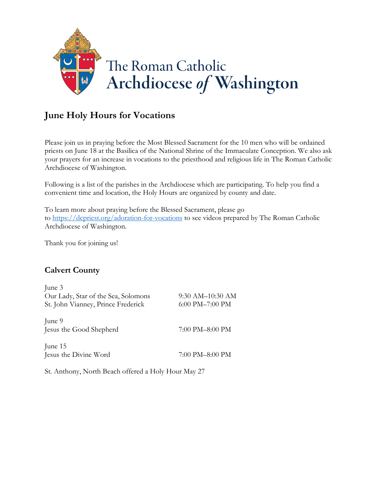

Please join us in praying before the Most Blessed Sacrament for the 10 men who will be ordained priests on June 18 at the Basilica of the National Shrine of the Immaculate Conception. We also ask your prayers for an increase in vocations to the priesthood and religious life in The Roman Catholic Archdiocese of Washington.

Following is a list of the parishes in the Archdiocese which are participating. To help you find a convenient time and location, the Holy Hours are organized by county and date.

To learn more about praying before the Blessed Sacrament, please go to <https://dcpriest.org/adoration-for-vocations> to see videos prepared by The Roman Catholic Archdiocese of Washington.

Thank you for joining us!

#### **Calvert County**

| June 3                              |                      |
|-------------------------------------|----------------------|
| Our Lady, Star of the Sea, Solomons | 9:30 AM-10:30 AM     |
| St. John Vianney, Prince Frederick  | $6:00$ PM $-7:00$ PM |
| June 9                              |                      |
| Jesus the Good Shepherd             | 7:00 PM-8:00 PM      |
| June 15                             |                      |
| Jesus the Divine Word               | 7:00 PM-8:00 PM      |
|                                     |                      |

St. Anthony, North Beach offered a Holy Hour May 27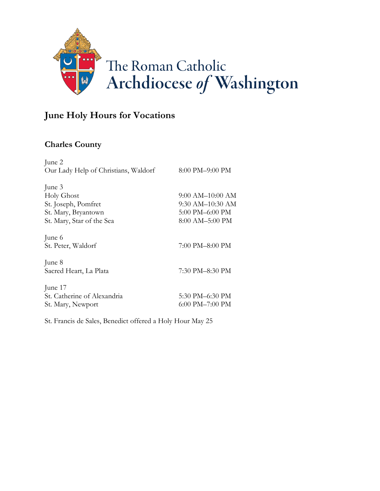

### **Charles County**

| 8:00 PM-9:00 PM            |
|----------------------------|
|                            |
|                            |
| 9:00 AM-10:00 AM           |
| 9:30 AM-10:30 AM           |
| $5:00 \text{ PM}$ -6:00 PM |
| 8:00 AM-5:00 PM            |
|                            |
| 7:00 PM–8:00 PM            |
|                            |
| 7:30 PM-8:30 PM            |
|                            |
| 5:30 PM-6:30 PM            |
|                            |
| $6:00$ PM $-7:00$ PM       |
|                            |

St. Francis de Sales, Benedict offered a Holy Hour May 25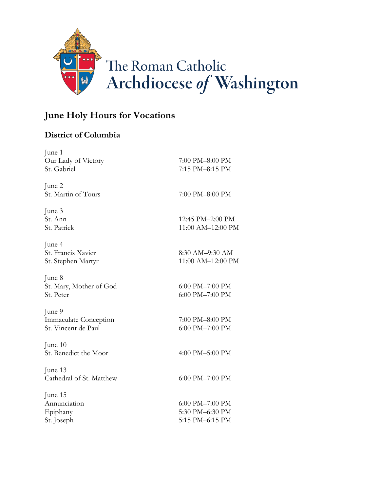

#### **District of Columbia**

| June 1                       |                                    |
|------------------------------|------------------------------------|
| Our Lady of Victory          | 7:00 PM-8:00 PM<br>7:15 PM-8:15 PM |
| St. Gabriel                  |                                    |
| June 2                       |                                    |
| St. Martin of Tours          | 7:00 PM-8:00 PM                    |
| June 3                       |                                    |
| St. Ann                      | 12:45 PM-2:00 PM                   |
| St. Patrick                  | 11:00 AM-12:00 PM                  |
| June 4                       |                                    |
| St. Francis Xavier           | 8:30 AM-9:30 AM                    |
| St. Stephen Martyr           | 11:00 AM-12:00 PM                  |
| June 8                       |                                    |
| St. Mary, Mother of God      | 6:00 PM-7:00 PM                    |
| St. Peter                    | 6:00 PM-7:00 PM                    |
| June 9                       |                                    |
| <b>Immaculate Conception</b> | 7:00 PM-8:00 PM                    |
| St. Vincent de Paul          | 6:00 PM-7:00 PM                    |
| June 10                      |                                    |
| St. Benedict the Moor        | 4:00 PM-5:00 PM                    |
| June 13                      |                                    |
| Cathedral of St. Matthew     | 6:00 PM-7:00 PM                    |
| June 15                      |                                    |
| Annunciation                 | 6:00 PM-7:00 PM                    |
| Epiphany                     | 5:30 PM-6:30 PM                    |
| St. Joseph                   | 5:15 PM-6:15 PM                    |
|                              |                                    |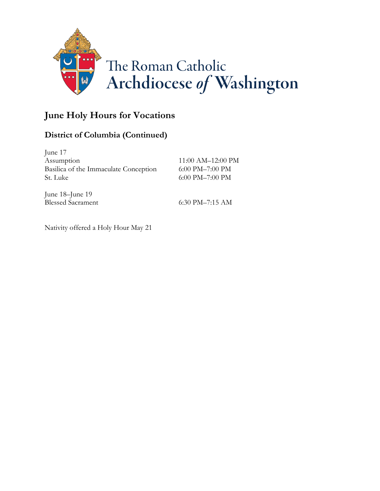

### **District of Columbia (Continued)**

| June 17                               |                            |
|---------------------------------------|----------------------------|
| Assumption                            | 11:00 AM-12:00 PM          |
| Basilica of the Immaculate Conception | $6:00$ PM $-7:00$ PM       |
| St. Luke                              | $6:00 \text{ PM}$ -7:00 PM |
|                                       |                            |

June 18–June 19

Blessed Sacrament 6:30 PM–7:15 AM

Nativity offered a Holy Hour May 21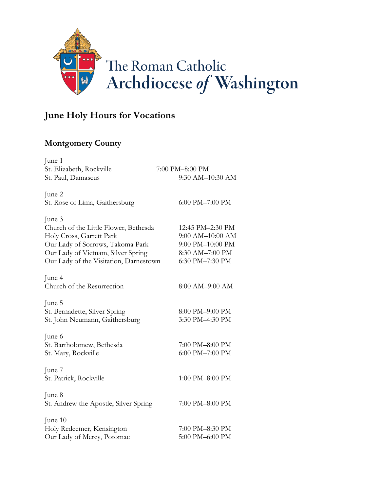

#### **Montgomery County**

| June 1                                 |                  |
|----------------------------------------|------------------|
| St. Elizabeth, Rockville               | 7:00 PM-8:00 PM  |
| St. Paul, Damascus                     | 9:30 AM-10:30 AM |
| June 2                                 |                  |
| St. Rose of Lima, Gaithersburg         | 6:00 PM-7:00 PM  |
| June 3                                 |                  |
| Church of the Little Flower, Bethesda  | 12:45 PM-2:30 PM |
| Holy Cross, Garrett Park               | 9:00 AM-10:00 AM |
| Our Lady of Sorrows, Takoma Park       | 9:00 PM-10:00 PM |
| Our Lady of Vietnam, Silver Spring     | 8:30 AM-7:00 PM  |
| Our Lady of the Visitation, Darnestown | 6:30 PM-7:30 PM  |
| June 4                                 |                  |
| Church of the Resurrection             | 8:00 AM-9:00 AM  |
| June 5                                 |                  |
| St. Bernadette, Silver Spring          | 8:00 PM-9:00 PM  |
| St. John Neumann, Gaithersburg         | 3:30 PM-4:30 PM  |
| June 6                                 |                  |
| St. Bartholomew, Bethesda              | 7:00 PM-8:00 PM  |
| St. Mary, Rockville                    | 6:00 PM-7:00 PM  |
| June 7                                 |                  |
| St. Patrick, Rockville                 | 1:00 PM-8:00 PM  |
| June 8                                 |                  |
| St. Andrew the Apostle, Silver Spring  | 7:00 PM-8:00 PM  |
| June 10                                |                  |
| Holy Redeemer, Kensington              | 7:00 PM-8:30 PM  |
| Our Lady of Mercy, Potomac             | 5:00 PM-6:00 PM  |
|                                        |                  |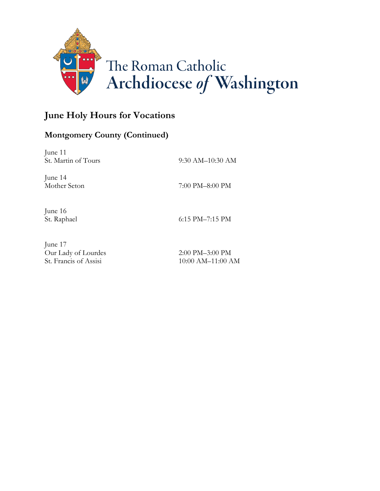

### **Montgomery County (Continued)**

June 11 St. Martin of Tours 9:30 AM–10:30 AM June 14 Mother Seton 7:00 PM–8:00 PM June 16 St. Raphael 6:15 PM–7:15 PM

June 17 Our Lady of Lourdes 2:00 PM–3:00 PM

St. Francis of Assisi 10:00 AM–11:00 AM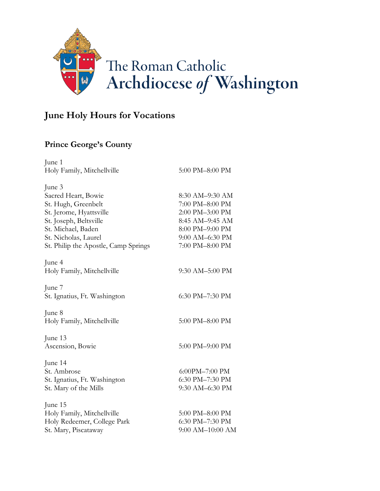

### **Prince George's County**

| June 1                               |                  |
|--------------------------------------|------------------|
| Holy Family, Mitchellville           | 5:00 PM-8:00 PM  |
| June 3                               |                  |
| Sacred Heart, Bowie                  | 8:30 AM-9:30 AM  |
| St. Hugh, Greenbelt                  | 7:00 PM-8:00 PM  |
| St. Jerome, Hyattsville              | 2:00 PM-3:00 PM  |
| St. Joseph, Beltsville               | 8:45 AM-9:45 AM  |
| St. Michael, Baden                   | 8:00 PM-9:00 PM  |
| St. Nicholas, Laurel                 | 9:00 AM-6:30 PM  |
| St. Philip the Apostle, Camp Springs | 7:00 PM-8:00 PM  |
| June 4                               |                  |
| Holy Family, Mitchellville           | 9:30 AM-5:00 PM  |
| June 7                               |                  |
| St. Ignatius, Ft. Washington         | 6:30 PM-7:30 PM  |
| June 8                               |                  |
| Holy Family, Mitchellville           | 5:00 PM-8:00 PM  |
| June 13                              |                  |
| Ascension, Bowie                     | 5:00 PM-9:00 PM  |
| June 14                              |                  |
| St. Ambrose                          | 6:00PM-7:00 PM   |
| St. Ignatius, Ft. Washington         | 6:30 PM-7:30 PM  |
| St. Mary of the Mills                | 9:30 AM-6:30 PM  |
| June 15                              |                  |
| Holy Family, Mitchellville           | 5:00 PM-8:00 PM  |
| Holy Redeemer, College Park          | 6:30 PM-7:30 PM  |
| St. Mary, Piscataway                 | 9:00 AM-10:00 AM |
|                                      |                  |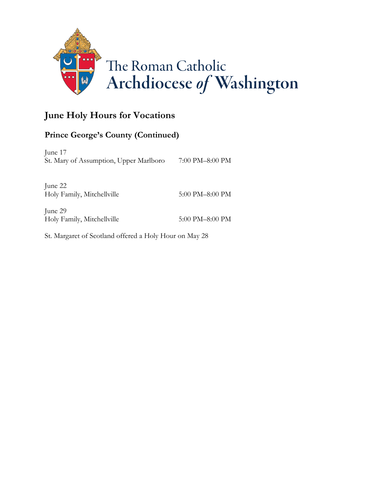

### **Prince George's County (Continued)**

June 17 St. Mary of Assumption, Upper Marlboro 7:00 PM–8:00 PM

June 22 Holy Family, Mitchellville 5:00 PM–8:00 PM

June 29 Holy Family, Mitchellville 5:00 PM–8:00 PM

St. Margaret of Scotland offered a Holy Hour on May 28